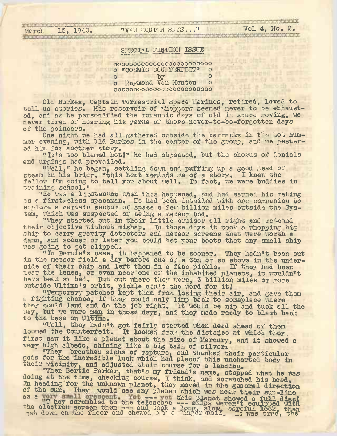**WILL AND PRESVILLON** 

## SPECIAL FIGTION ISSUE

OOOOOOOOOOOOOOOOOOOOOOOOO , ■ ■. o "COSMIC COUHTERFEIT" o o by o o Raymono. Van Houten o OOOOOOOOOOOOOOOOOOOOOOOOO

The state of the contract of

Old Burkes, Captain Terrestrial Space marines, retired, loved to tell us stories. His reservoir of thoppers seemed never to be exhausted. and as he personified the romantic days of old in space roving, we never tired of hearing his yarns of those never-to-be-forgotten days of the poineers. of the poineers. 'I was also the second the point of the point of the second second second second second second second second second second second second second second second second second second second second second secon

One night we had all gathered outside the barracks in the hot summer evening, with Old Burkes in the center of the group, and we pestered him for another story.

"It'<sup>s</sup> too blamed hotI" he had objected, but the chorus of denials and urgings had prevailed.

"Weil," he began, settling down and puffing up <sup>a</sup> good head of steam in his briar, "this heat reminds me of a story. I knew the steam in his briar, "this heat reminds me of a story. I knew the<br>fellow I'm going to tell you about well. In fact, we were buddies in training school."

The was a lieutenant when this happened, and had earned his rating as a first-class spaceman. He had been detailed with one companion to explore a certain sector of space a few billion miles outside the System, which was suspected of being a meteor bed,

which was suspected of being a meteor bed.<br>"They started out in their little cruiser all right and reached They started out in their little cruiser all right and reweded<br>their objective without mishap. In those days it took a whopping big ship to carry gravity detectors and meteor screens that were worth a damn, and sooner or later you could bet your boots that any small ship was going to get clipped.

"Tn Bertie'<sup>s</sup> case, it happened to be sooner. They hadn't been out in the meteor field a day before one of a ton or so stove in the underside of their ship and left them in a fine pickle. If they had been side of their ship and left them in a fane plokie. If they had been<br>near the lanes, or even near one of the inhabited planets, it wouldn't have been so bad. But out where they were, 3 billion miles or more have been so bad. But out where they were, 3 billion<br>butside Ultima's orbit, pickle ain't the word for it!

"Temporary patches kept them from losing their air, and gave them a fighting chance, if they could only limp back to someplace where they could land and do the job right. It would be nip and tuck all the way, but we were men in those days, and they made ready to blast back to the, base on Ultima.

"Well, they hadn't got fairly started when dead ahead of them loomed the Counterfeit. It looked from the distance at which they, first saw it like a planet about the size of Mercury, and it showed a very high albedo, shining like a big ball of silver.

"They breathed sighs of rapture, and thanked their particular gods for the incredible luck which had placed this uncharted body in their vicinity, and adjusted their course for a landing.

"Then Bertie Parker, that's my friend's name, stopped what he *iftas* doing at the time, checking course, I think, and scratched his head. In heading for the unknown planet, they moved in the general direction of the sun. They would see any planet which was near their sun-line as a T hey scrambled to the telesoone —— ships weren't equipped with the electron screen then --- and took a long, slow, careful look, then<br>sat down on the floor and chewed o<sup>py a finger-nail, it was true, the</sup>